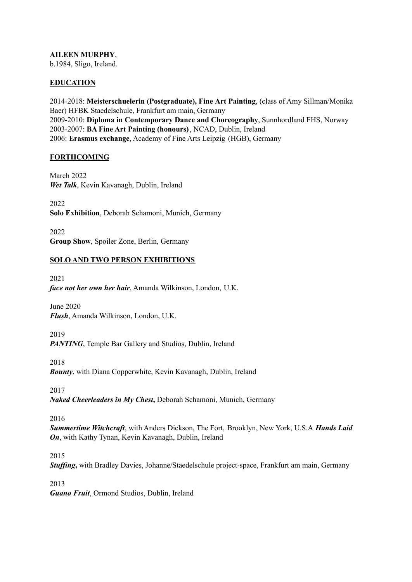**AILEEN MURPHY**, b.1984, Sligo, Ireland.

#### **EDUCATION**

2014-2018: **Meisterschuelerin (Postgraduate), Fine Art Painting**, (class of Amy Sillman/Monika Baer) HFBK Staedelschule, Frankfurt am main, Germany 2009-2010: **Diploma in Contemporary Dance and Choreography**, Sunnhordland FHS, Norway 2003-2007: **BA Fine Art Painting (honours)**, NCAD, Dublin, Ireland 2006: **Erasmus exchange**, Academy of Fine Arts Leipzig (HGB), Germany

#### **FORTHCOMING**

March 2022 *Wet Talk*, Kevin Kavanagh, Dublin, Ireland

2022 **Solo Exhibition**, Deborah Schamoni, Munich, Germany

2022 **Group Show**, Spoiler Zone, Berlin, Germany

## **SOLO AND TWO PERSON EXHIBITIONS**

2021 *face not her own her hair*, Amanda Wilkinson, London, U.K.

June 2020 *Flush*, Amanda Wilkinson, London, U.K.

2019 *PANTING*, Temple Bar Gallery and Studios, Dublin, Ireland

2018 *Bounty*, with Diana Copperwhite, Kevin Kavanagh, Dublin, Ireland

2017 *Naked Cheerleaders in My Chest***,** Deborah Schamoni, Munich, Germany

2016

*Summertime Witchcraft*, with Anders Dickson, The Fort, Brooklyn, New York, U.S.A *Hands Laid On*, with Kathy Tynan, Kevin Kavanagh, Dublin, Ireland

2015

*Stuffing*, with Bradley Davies, Johanne/Staedelschule project-space, Frankfurt am main, Germany

2013

*Guano Fruit*, Ormond Studios, Dublin, Ireland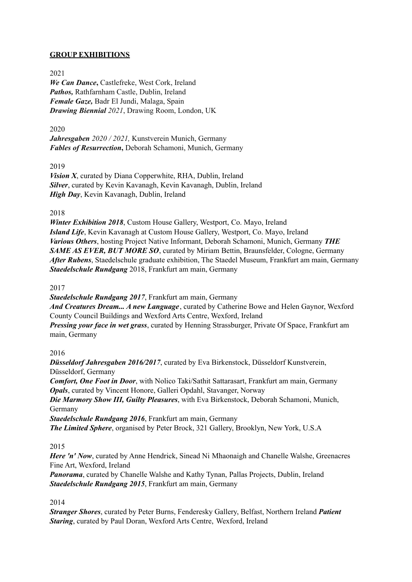# **GROUP EXHIBITIONS**

# 2021

*We Can Dance***,** Castlefreke, West Cork, Ireland *Pathos,* Rathfarnham Castle, Dublin, Ireland *Female Gaze,* Badr El Jundi, Malaga, Spain *Drawing Biennial 2021*, Drawing Room, London, UK

## 2020

*Jahresgaben 2020 / 2021,* Kunstverein Munich, Germany *Fables of Resurrection***,** Deborah Schamoni, Munich, Germany

2019

*Vision X*, curated by Diana Copperwhite, RHA, Dublin, Ireland *Silver*, curated by Kevin Kavanagh, Kevin Kavanagh, Dublin, Ireland *High Day*, Kevin Kavanagh, Dublin, Ireland

#### 2018

*Winter Exhibition 2018*, Custom House Gallery, Westport, Co. Mayo, Ireland *Island Life*, Kevin Kavanagh at Custom House Gallery, Westport, Co. Mayo, Ireland *Various Others*, hosting Project Native Informant, Deborah Schamoni, Munich, Germany *THE SAME AS EVER, BUT MORE SO*, curated by Miriam Bettin, Braunsfelder, Cologne, Germany *After Rubens*, Staedelschule graduate exhibition, The Staedel Museum, Frankfurt am main, Germany *Staedelschule Rundgang* 2018, Frankfurt am main, Germany

#### 2017

*Staedelschule Rundgang 2017*, Frankfurt am main, Germany *And Creatures Dream... A new Language*, curated by Catherine Bowe and Helen Gaynor, Wexford County Council Buildings and Wexford Arts Centre, Wexford, Ireland *Pressing your face in wet grass*, curated by Henning Strassburger, Private Of Space, Frankfurt am main, Germany

#### 2016

*Düsseldorf Jahresgaben 2016/2017*, curated by Eva Birkenstock, Düsseldorf Kunstverein, Düsseldorf, Germany

*Comfort, One Foot in Door*, with Nolico Taki/Sathit Sattarasart, Frankfurt am main, Germany *Opals*, curated by Vincent Honore, Galleri Opdahl, Stavanger, Norway

*Die Marmory Show III, Guilty Pleasures*, with Eva Birkenstock, Deborah Schamoni, Munich, Germany

*Staedelschule Rundgang 2016*, Frankfurt am main, Germany

*The Limited Sphere*, organised by Peter Brock, 321 Gallery, Brooklyn, New York, U.S.A

#### 2015

*Here 'n' Now*, curated by Anne Hendrick, Sinead Ni Mhaonaigh and Chanelle Walshe, Greenacres Fine Art, Wexford, Ireland

*Panorama*, curated by Chanelle Walshe and Kathy Tynan, Pallas Projects, Dublin, Ireland *Staedelschule Rundgang 2015*, Frankfurt am main, Germany

#### 2014

*Stranger Shores*, curated by Peter Burns, Fenderesky Gallery, Belfast, Northern Ireland *Patient Staring*, curated by Paul Doran, Wexford Arts Centre, Wexford, Ireland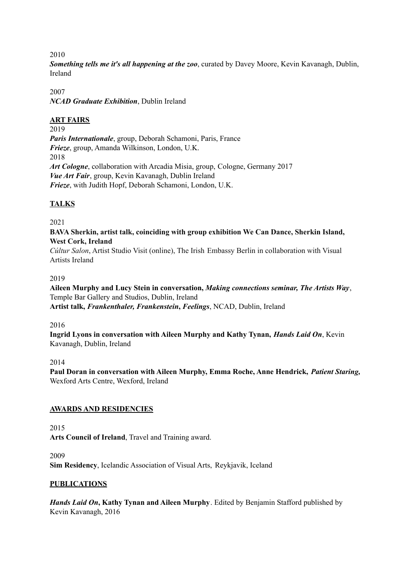2010

*Something tells me it's all happening at the zoo*, curated by Davey Moore, Kevin Kavanagh, Dublin, Ireland

2007 *NCAD Graduate Exhibition*, Dublin Ireland

## **ART FAIRS**

2019 *Paris Internationale*, group, Deborah Schamoni, Paris, France *Frieze*, group, Amanda Wilkinson, London, U.K. 2018 *Art Cologne*, collaboration with Arcadia Misia, group, Cologne, Germany 2017 *Vue Art Fair*, group, Kevin Kavanagh, Dublin Ireland *Frieze*, with Judith Hopf, Deborah Schamoni, London, U.K.

# **TALKS**

2021

#### **BAVA Sherkin, artist talk, coinciding with group exhibition We Can Dance, Sherkin Island, West Cork, Ireland**

*Cúltur Salon*, Artist Studio Visit (online), The Irish Embassy Berlin in collaboration with Visual Artists Ireland

#### 2019

**Aileen Murphy and Lucy Stein in conversation,** *Making connections seminar, The Artists Way*, Temple Bar Gallery and Studios, Dublin, Ireland **Artist talk,** *Frankenthaler, Frankenstein***,** *Feelings*, NCAD, Dublin, Ireland

2016

**Ingrid Lyons in conversation with Aileen Murphy and Kathy Tynan,** *Hands Laid On*, Kevin Kavanagh, Dublin, Ireland

2014

**Paul Doran in conversation with Aileen Murphy, Emma Roche, Anne Hendrick,** *Patient Staring,* Wexford Arts Centre, Wexford, Ireland

#### **AWARDS AND RESIDENCIES**

2015

**Arts Council of Ireland**, Travel and Training award.

2009

**Sim Residency**, Icelandic Association of Visual Arts, Reykjavik, Iceland

#### **PUBLICATIONS**

*Hands Laid On***, Kathy Tynan and Aileen Murphy**. Edited by Benjamin Stafford published by Kevin Kavanagh, 2016